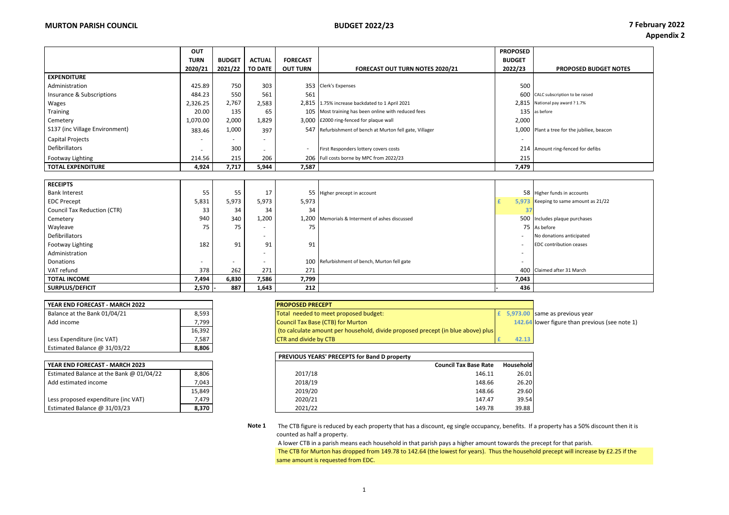|                                | <b>OUT</b>  |               |                |                 |                                                          | <b>PROPOSED</b> |                                             |
|--------------------------------|-------------|---------------|----------------|-----------------|----------------------------------------------------------|-----------------|---------------------------------------------|
|                                | <b>TURN</b> | <b>BUDGET</b> | <b>ACTUAL</b>  | <b>FORECAST</b> |                                                          | <b>BUDGET</b>   |                                             |
|                                | 2020/21     | 2021/22       | <b>TO DATE</b> | <b>OUT TURN</b> | <b>FORECAST OUT TURN NOTES 2020/21</b>                   | 2022/23         | <b>PROPOSED BUDGET NOTES</b>                |
| <b>EXPENDITURE</b>             |             |               |                |                 |                                                          |                 |                                             |
| Administration                 | 425.89      | 750           | 303            |                 | 353 Clerk's Expenses                                     | 500             |                                             |
| Insurance & Subscriptions      | 484.23      | 550           | 561            | 561             |                                                          |                 | 600 CALC subscription to be raised          |
| Wages                          | 2,326.25    | 2,767         | 2,583          |                 | 2,815 1.75% increase backdated to 1 April 2021           |                 | 2.815 National pay award ? 1.7%             |
| Training                       | 20.00       | 135           | 65             |                 | 105 Most training has been online with reduced fees      |                 | 135 as before                               |
| Cemetery                       | 1,070.00    | 2,000         | 1,829          |                 | 3,000 £2000 ring-fenced for plaque wall                  | 2,000           |                                             |
| S137 (inc Village Environment) | 383.46      | 1,000         | 397            |                 | 547 Refurbishment of bench at Murton fell gate, Villager |                 | 1.000 Plant a tree for the jubiliee, beacon |
| <b>Capital Projects</b>        |             |               |                |                 |                                                          |                 |                                             |
| Defibrillators                 |             | 300           |                |                 | First Responders lottery covers costs                    |                 | 214 Amount ring-fenced for defibs           |
| Footway Lighting               | 214.56      | 215           | 206            |                 | 206 Full costs borne by MPC from 2022/23                 | 215             |                                             |
| <b>TOTAL EXPENDITURE</b>       | 4,924       | 7,717         | 5,944          | 7,587           |                                                          | 7,479           |                                             |

| <b>RECEIPTS</b>                    |                          |        |       |       |                                                |                          |                                       |
|------------------------------------|--------------------------|--------|-------|-------|------------------------------------------------|--------------------------|---------------------------------------|
| <b>Bank Interest</b>               | 55                       | 55     | 17    |       | 55 Higher precept in account                   |                          | 58 Higher funds in accounts           |
| <b>EDC Precept</b>                 | 5,831                    | 5,973  | 5,973 | 5,973 |                                                |                          | 5.973 Keeping to same amount as 21/22 |
| <b>Council Tax Reduction (CTR)</b> | 33                       | 34     | 34    | 34    |                                                |                          |                                       |
| Cemetery                           | 940                      | 340    | 1,200 |       | 1,200 Memorials & Interment of ashes discussed |                          | 500 Includes plaque purchases         |
| Wayleave                           | 75                       | 75     |       | 75    |                                                |                          | 75 As before                          |
| Defibrillators                     |                          |        |       |       |                                                | $\overline{\phantom{a}}$ | No donations anticipated              |
| Footway Lighting                   | 182                      | 91     | 91    | 91    |                                                | $\overline{\phantom{a}}$ | <b>EDC</b> contribution ceases        |
| Administration                     |                          |        |       |       |                                                |                          |                                       |
| Donations                          | $\overline{\phantom{a}}$ | $\sim$ |       |       | 100 Refurbishment of bench, Murton fell gate   | $\overline{\phantom{a}}$ |                                       |
| VAT refund                         | 378                      | 262    | 271   | 271   |                                                |                          | 400 Claimed after 31 March            |
| <b>TOTAL INCOME</b>                | 7,494                    | 6,830  | 7,586 | 7,799 |                                                | 7,043                    |                                       |
| SURPLUS/DEFICIT                    | 2,570                    | 887    | 1,643 | 212   |                                                | 436                      |                                       |

| YEAR END FORECAST - MARCH 2022 |        |
|--------------------------------|--------|
| Balance at the Bank 01/04/21   | 8,593  |
| Add income                     | 7.799  |
|                                | 16,392 |
| Less Expenditure (inc VAT)     | 7.587  |
| Estimated Balance @ 31/03/22   | 8,806  |

| YEAR END FORECAST - MARCH 2023           |        |
|------------------------------------------|--------|
| Estimated Balance at the Bank @ 01/04/22 | 8,806  |
| Add estimated income                     | 7,043  |
|                                          | 15.849 |
| Less proposed expenditure (inc VAT)      | 7.479  |
| Estimated Balance @ 31/03/23             | 8,370  |

| YEAR END FORECAST - MARCH 2022 |        | <b>PROPOSED PRECEPT</b>                                                          |       |                                                |
|--------------------------------|--------|----------------------------------------------------------------------------------|-------|------------------------------------------------|
| Balance at the Bank 01/04/21   | 8,593  | Total needed to meet proposed budget:                                            |       | 5,973.00 same as previous year                 |
| Add income                     | 7,799  | <b>Council Tax Base (CTB) for Murton</b>                                         |       | 142.64 lower figure than previous (see note 1) |
|                                | 16,392 | (to calculate amount per household, divide proposed precept (in blue above) plus |       |                                                |
| Less Expenditure (inc VAT)     | 7,587  | <b>CTR</b> and divide by CTB                                                     | 42.13 |                                                |

|                                          |        | PREVIOUS YEARS' PRECEPTS for Band D property |                              |           |
|------------------------------------------|--------|----------------------------------------------|------------------------------|-----------|
| YEAR END FORECAST - MARCH 2023           |        |                                              | <b>Council Tax Base Rate</b> | Household |
| Estimated Balance at the Bank @ 01/04/22 | 8.806  | 2017/18                                      | 146.11                       | 26.01     |
| Add estimated income                     | 7,043  | 2018/19                                      | 148.66                       | 26.20     |
|                                          | 15.849 | 2019/20                                      | 148.66                       | 29.60     |
| Less proposed expenditure (inc VAT)      | 7,479  | 2020/21                                      | 147.47                       | 39.54     |
| Estimated Balance @ 31/03/23             | 8,370  | 2021/22                                      | 149.78                       | 39.88     |

**Note 1** The CTB figure is reduced by each property that has a discount, eg single occupancy, benefits. If a property has a 50% discount then it is counted as half a property.

 A lower CTB in a parish means each household in that parish pays a higher amount towards the precept for that parish. The CTB for Murton has dropped from 149.78 to 142.64 (the lowest for years). Thus the household precept will increase by £2.25 if the same amount is requested from EDC.